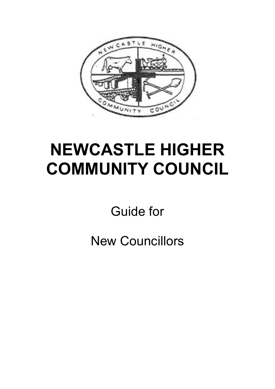

# **NEWCASTLE HIGHER COMMUNITY COUNCIL**

Guide for

New Councillors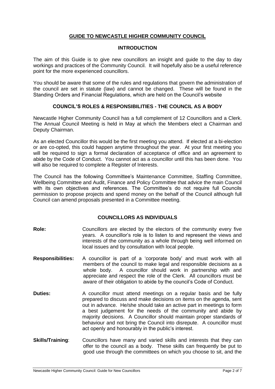# **GUIDE TO NEWCASTLE HIGHER COMMUNITY COUNCIL**

#### **INTRODUCTION**

The aim of this Guide is to give new councillors an insight and guide to the day to day workings and practices of the Community Council. It will hopefully also be a useful reference point for the more experienced councillors.

You should be aware that some of the rules and regulations that govern the administration of the council are set in statute (law) and cannot be changed. These will be found in the Standing Orders and Financial Regulations, which are held on the Council's website

# **COUNCIL'S ROLES & RESPONSIBILITIES - THE COUNCIL AS A BODY**

Newcastle Higher Community Council has a full complement of 12 Councillors and a Clerk. The Annual Council Meeting is held in May at which the Members elect a Chairman and Deputy Chairman.

As an elected Councillor this would be the first meeting you attend. If elected at a bi-election or are co-opted, this could happen anytime throughout the year. At your first meeting you will be required to sign a formal declaration of acceptance of office and an agreement to abide by the Code of Conduct. You cannot act as a councillor until this has been done. You will also be required to complete a Register of Interests.

The Council has the following Committee's Maintenance Committee, Staffing Committee, Wellbeing Committee and Audit, Finance and Policy Committee that advice the main Council with its own objectives and references. The Committee's do not require full Councils permission to propose projects and spend money on the behalf of the Council although full Council can amend proposals presented in a Committee meeting.

# **COUNCILLORS AS INDIVIDUALS**

- **Role:** Councillors are elected by the electors of the community every five years. A councillor's role is to listen to and represent the views and interests of the community as a whole through being well informed on local issues and by consultation with local people.
- **Responsibilities:** A councillor is part of a 'corporate body' and must work with all members of the council to make legal and responsible decisions as a whole body. A councillor should work in partnership with and appreciate and respect the role of the Clerk. All councillors must be aware of their obligation to abide by the council's Code of Conduct.
- **Duties:** A councillor must attend meetings on a regular basis and be fully prepared to discuss and make decisions on items on the agenda, sent out in advance. He/she should take an active part in meetings to form a best judgement for the needs of the community and abide by majority decisions. A Councillor should maintain proper standards of behaviour and not bring the Council into disrepute. A councillor must act openly and honourably in the public's interest.
- **Skills/Training:** Councillors have many and varied skills and interests that they can offer to the council as a body. These skills can frequently be put to good use through the committees on which you choose to sit, and the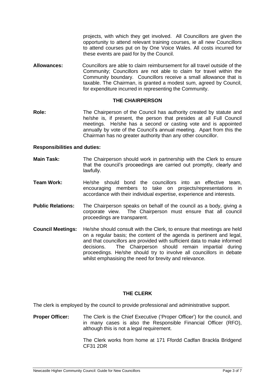projects, with which they get involved. All Councillors are given the opportunity to attend relevant training courses, ie all new Councillors to attend courses put on by One Voice Wales. All costs incurred for these events are paid for by the Council.

**Allowances:** Councillors are able to claim reimbursement for all travel outside of the Community; Councillors are not able to claim for travel within the Community boundary. Councillors receive a small allowance that is taxable. The Chairman, is granted a modest sum, agreed by Council, for expenditure incurred in representing the Community.

# **THE CHAIRPERSON**

**Role:** The Chairperson of the Council has authority created by statute and he/she is, if present, the person that presides at all Full Council meetings. He/she has a second or casting vote and is appointed annually by vote of the Council's annual meeting. Apart from this the Chairman has no greater authority than any other councillor.

#### **Responsibilities and duties:**

- **Main Task:** The Chairperson should work in partnership with the Clerk to ensure that the council's proceedings are carried out promptly, clearly and lawfully.
- **Team Work:** He/she should bond the councillors into an effective team, encouraging members to take on projects/representations in accordance with their individual expertise, experience and interests.
- **Public Relations:** The Chairperson speaks on behalf of the council as a body, giving a corporate view. The Chairperson must ensure that all council proceedings are transparent.
- **Council Meetings:** He/she should consult with the Clerk, to ensure that meetings are held on a regular basis; the content of the agenda is pertinent and legal, and that councillors are provided with sufficient data to make informed decisions. The Chairperson should remain impartial during proceedings. He/she should try to involve all councillors in debate whilst emphasising the need for brevity and relevance.

# **THE CLERK**

The clerk is employed by the council to provide professional and administrative support.

**Proper Officer:** The Clerk is the Chief Executive ('Proper Officer') for the council, and in many cases is also the Responsible Financial Officer (RFO), although this is not a legal requirement.

> The Clerk works from home at 171 Ffordd Cadfan Brackla Bridgend CF31 2DR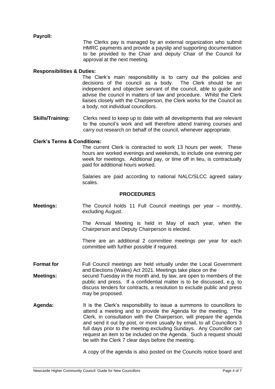# **Payroll:**

The Clerks pay is managed by an external organization who submit HMRC payments and provide a payslip and supporting documentation to be provided to the Chair and deputy Chair of the Council for approval at the next meeting.

#### **Responsibilities & Duties:**

The Clerk's main responsibility is to carry out the policies and decisions of the council as a body. The Clerk should be an independent and objective servant of the council, able to guide and advise the council in matters of law and procedure. Whilst the Clerk liaises closely with the Chairperson, the Clerk works for the Council as a body, not individual councillors.

**Skills/Training:** Clerks need to keep up to date with all developments that are relevant to the council's work and will therefore attend training courses and carry out research on behalf of the council, whenever appropriate.

#### **Clerk's Terms & Conditions:**

The current Clerk is contracted to work 13 hours per week. These hours are worked evenings and weekends, to include one evening per week for meetings. Additional pay, or time off in lieu, is contractually paid for additional hours worked.

Salaries are paid according to national NALC/SLCC agreed salary scales.

#### **PROCEDURES**

**Meetings:** The Council holds 11 Full Council meetings per year – monthly, excluding August.

> The Annual Meeting is held in May of each year, when the Chairperson and Deputy Chairperson is elected.

> There are an additional 2 committee meetings per year for each committee with further possible if required.

**Format for** Full Council meetings are held virtually under the Local Government and Elections (Wales) Act 2021. Meetings take place on the

**Meetings:** secund Tuesday in the month and, by law, are open to members of the public and press. If a confidential matter is to be discussed, e.g. to discuss tenders for contracts, a resolution to exclude public and press may be proposed.

**Agenda:** It is the Clerk's responsibility to issue a summons to councillors to attend a meeting and to provide the Agenda for the meeting. The Clerk, in consultation with the Chairperson, will prepare the agenda and send it out by post, or more usually by email, to all Councillors 3 full days prior to the meeting excluding Sundays. Any Councillor can request an item to be included on the Agenda. Such a request should be with the Clerk 7 clear days before the meeting.

A copy of the agenda is also posted on the Councils notice board and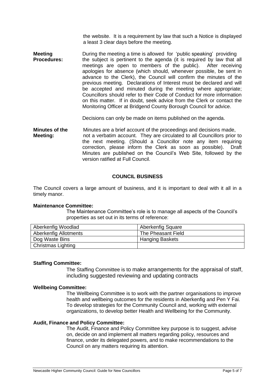the website. It is a requirement by law that such a Notice is displayed a least 3 clear days before the meeting.

**Meeting** During the meeting a time is allowed for 'public speaking' providing<br>**Procedures:** the subject is pertinent to the agenda (it is required by law that a the subject is pertinent to the agenda (it is required by law that all meetings are open to members of the public). After receiving meetings are open to members of the public). apologies for absence (which should, whenever possible, be sent in advance to the Clerk), the Council will confirm the minutes of the previous meeting. Declarations of Interest must be declared and will be accepted and minuted during the meeting where appropriate; Councillors should refer to their Code of Conduct for more information on this matter. If in doubt, seek advice from the Clerk or contact the Monitoring Officer at Bridgend County Borough Council for advice.

Decisions can only be made on items published on the agenda.

**Minutes of the** Minutes are a brief account of the proceedings and decisions made, **Meeting:** not a verbatim account. They are circulated to all Councillors prior to the next meeting. (Should a Councillor note any item requiring correction, please inform the Clerk as soon as possible). Draft Minutes are published on the Council's Web Site, followed by the version ratified at Full Council.

# **COUNCIL BUSINESS**

The Council covers a large amount of business, and it is important to deal with it all in a timely manor.

# **Maintenance Committee:**

The Maintenance Committee's role is to manage all aspects of the Council's properties as set out in its terms of reference:

| Aberkenfig Woodlad           | <b>Aberkenfig Square</b> |
|------------------------------|--------------------------|
| <b>Aberkenfig Allotments</b> | The Pheasant Field       |
| Dog Waste Bins               | <b>Hanging Baskets</b>   |
| Christmas Lighting           |                          |

# **Staffing Committee:**

The Staffing Committee is to make arrangements for the appraisal of staff, including suggested reviewing and updating contracts

#### **Wellbeing Committee:**

The Wellbeing Committee is to work with the partner organisations to improve health and wellbeing outcomes for the residents in Aberkenfig and Pen Y Fai. To develop strategies for the Community Council and, working with external organizations, to develop better Health and Wellbeing for the Community.

# **Audit, Finance and Policy Committee:**

The Audit, Finance and Policy Committee key purpose is to suggest, advise on, decide on and implement all matters regarding policy, resources and finance, under its delegated powers, and to make recommendations to the Council on any matters requiring its attention.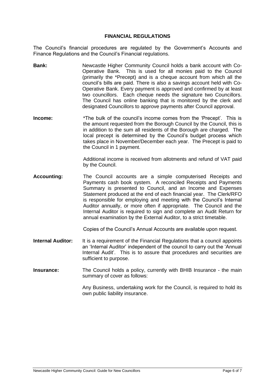#### **FINANCIAL REGULATIONS**

The Council's financial procedures are regulated by the Government's Accounts and Finance Regulations and the Council's Financial regulations.

- **Bank:** Newcastle Higher Community Council holds a bank account with Co-Operative Bank. This is used for all monies paid to the Council (primarily the \*Precept) and is a cheque account from which all the council's bills are paid. There is also a savings account held with Co-Operative Bank. Every payment is approved and confirmed by at least two councillors. Each cheque needs the signature two Councillors. The Council has online banking that is monitored by the clerk and designated Councillors to approve payments after Council approval.
- **Income:** \*The bulk of the council's income comes from the 'Precept'. This is the amount requested from the Borough Council by the Council, this is in addition to the sum all residents of the Borough are charged. The local precept is determined by the Council's budget process which takes place in November/December each year. The Precept is paid to the Council in 1 payment.

Additional income is received from allotments and refund of VAT paid by the Council.

**Accounting:** The Council accounts are a simple computerised Receipts and Payments cash book system. A reconciled Receipts and Payments Summary is presented to Council, and an Income and Expenses Statement produced at the end of each financial year. The Clerk/RFO is responsible for employing and meeting with the Council's Internal Auditor annually, or more often if appropriate. The Council and the Internal Auditor is required to sign and complete an Audit Return for annual examination by the External Auditor, to a strict timetable.

Copies of the Council's Annual Accounts are available upon request.

- **Internal Auditor:** It is a requirement of the Financial Regulations that a council appoints an 'Internal Auditor' independent of the council to carry out the 'Annual Internal Audit'. This is to assure that procedures and securities are sufficient to purpose.
- **Insurance:** The Council holds a policy, currently with BHIB Insurance the main summary of cover as follows:

Any Business, undertaking work for the Council, is required to hold its own public liability insurance.